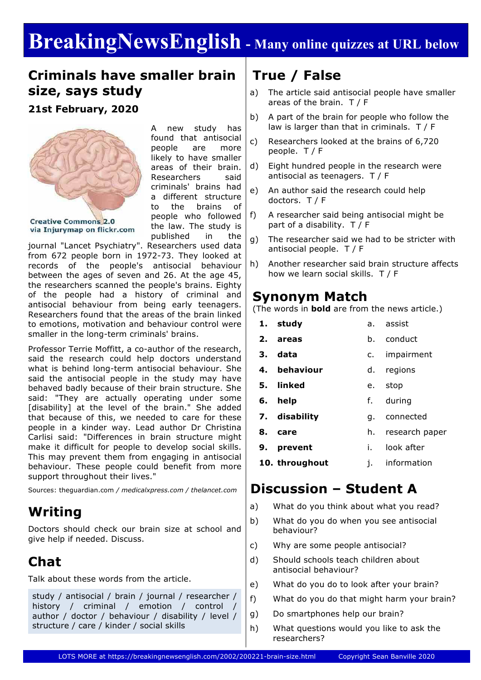# **BreakingNewsEnglish - Many online quizzes at URL below**

### **Criminals have smaller brain size, says study**

**21st February, 2020**



**Creative Commons 2.0** via Injurymap on flickr.com A new study has found that antisocial people are more likely to have smaller areas of their brain. Researchers said criminals' brains had a different structure to the brains of people who followed the law. The study is published in the

journal "Lancet Psychiatry". Researchers used data from 672 people born in 1972-73. They looked at records of the people's antisocial behaviour between the ages of seven and 26. At the age 45, the researchers scanned the people's brains. Eighty of the people had a history of criminal and antisocial behaviour from being early teenagers. Researchers found that the areas of the brain linked to emotions, motivation and behaviour control were smaller in the long-term criminals' brains.

Professor Terrie Moffitt, a co-author of the research, said the research could help doctors understand what is behind long-term antisocial behaviour. She said the antisocial people in the study may have behaved badly because of their brain structure. She said: "They are actually operating under some [disability] at the level of the brain." She added that because of this, we needed to care for these people in a kinder way. Lead author Dr Christina Carlisi said: "Differences in brain structure might make it difficult for people to develop social skills. This may prevent them from engaging in antisocial behaviour. These people could benefit from more support throughout their lives."

Sources: theguardian.com */ medicalxpress.com / thelancet.com*

### **Writing**

Doctors should check our brain size at school and give help if needed. Discuss.

## **Chat**

Talk about these words from the article.

study / antisocial / brain / journal / researcher / history / criminal / emotion / control author / doctor / behaviour / disability / level / structure / care / kinder / social skills

### **True / False**

- a) The article said antisocial people have smaller areas of the brain. T / F
- b) A part of the brain for people who follow the law is larger than that in criminals. T / F
- c) Researchers looked at the brains of 6,720 people. T / F
- d) Eight hundred people in the research were antisocial as teenagers. T / F
- e) An author said the research could help doctors. T / F
- f) A researcher said being antisocial might be part of a disability. T / F
- g) The researcher said we had to be stricter with antisocial people. T / F
- h) Another researcher said brain structure affects how we learn social skills. T / F

#### **Synonym Match**

(The words in **bold** are from the news article.)

- **1. study** a. assist
- **2. areas** b. conduct
- **3. data** c. impairment
- **4. behaviour** d. regions
- **5. linked** e. stop
- **6. help** f. during
- **7. disability** g. connected
- **8. care** h. research paper
- **9. prevent** i. look after
- **10. throughout** j. information

### **Discussion – Student A**

- a) What do you think about what you read?
- b) What do you do when you see antisocial behaviour?
- c) Why are some people antisocial?
- d) Should schools teach children about antisocial behaviour?
- e) What do you do to look after your brain?
- f) What do you do that might harm your brain?
- g) Do smartphones help our brain?
- h) What questions would you like to ask the researchers?